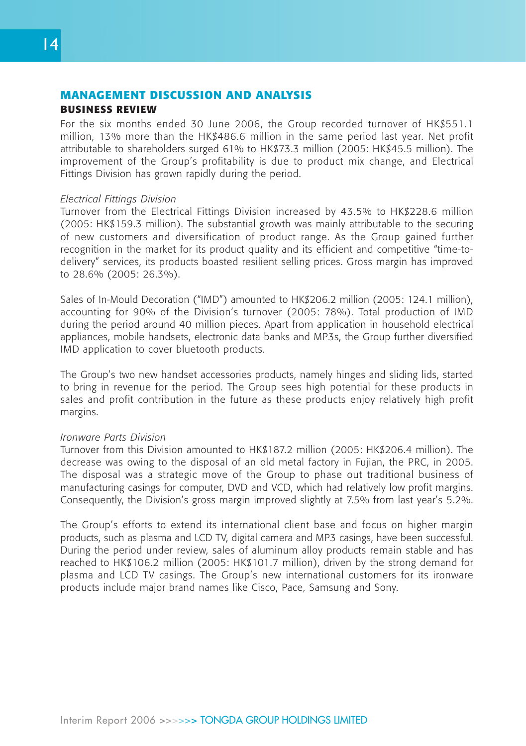## **MANAGEMENT DISCUSSION AND ANALYSIS BUSINESS REVIEW**

For the six months ended 30 June 2006, the Group recorded turnover of HK\$551.1 million, 13% more than the HK\$486.6 million in the same period last year. Net profit attributable to shareholders surged 61% to HK\$73.3 million (2005: HK\$45.5 million). The improvement of the Group's profitability is due to product mix change, and Electrical Fittings Division has grown rapidly during the period.

#### *Electrical Fittings Division*

Turnover from the Electrical Fittings Division increased by 43.5% to HK\$228.6 million (2005: HK\$159.3 million). The substantial growth was mainly attributable to the securing of new customers and diversification of product range. As the Group gained further recognition in the market for its product quality and its efficient and competitive "time-todelivery" services, its products boasted resilient selling prices. Gross margin has improved to 28.6% (2005: 26.3%).

Sales of In-Mould Decoration ("IMD") amounted to HK\$206.2 million (2005: 124.1 million), accounting for 90% of the Division's turnover (2005: 78%). Total production of IMD during the period around 40 million pieces. Apart from application in household electrical appliances, mobile handsets, electronic data banks and MP3s, the Group further diversified IMD application to cover bluetooth products.

The Group's two new handset accessories products, namely hinges and sliding lids, started to bring in revenue for the period. The Group sees high potential for these products in sales and profit contribution in the future as these products enjoy relatively high profit margins.

#### *Ironware Parts Division*

Turnover from this Division amounted to HK\$187.2 million (2005: HK\$206.4 million). The decrease was owing to the disposal of an old metal factory in Fujian, the PRC, in 2005. The disposal was a strategic move of the Group to phase out traditional business of manufacturing casings for computer, DVD and VCD, which had relatively low profit margins. Consequently, the Division's gross margin improved slightly at 7.5% from last year's 5.2%.

The Group's efforts to extend its international client base and focus on higher margin products, such as plasma and LCD TV, digital camera and MP3 casings, have been successful. During the period under review, sales of aluminum alloy products remain stable and has reached to HK\$106.2 million (2005: HK\$101.7 million), driven by the strong demand for plasma and LCD TV casings. The Group's new international customers for its ironware products include major brand names like Cisco, Pace, Samsung and Sony.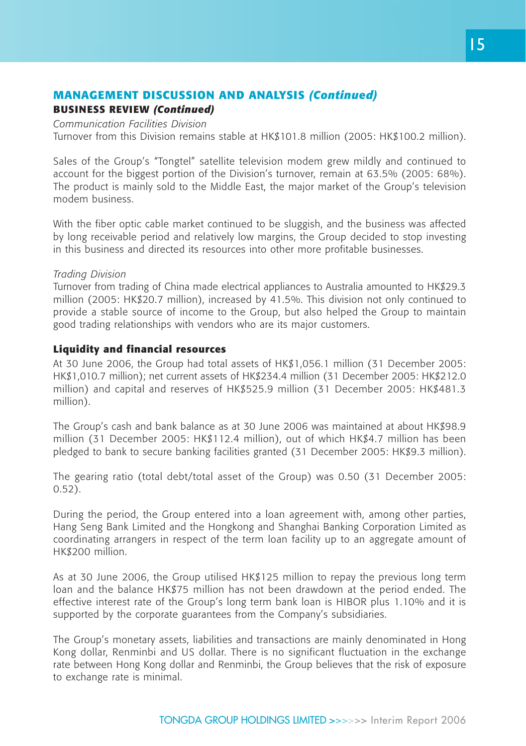## **MANAGEMENT DISCUSSION AND ANALYSIS** *(Continued)*

## **BUSINESS REVIEW** *(Continued)*

*Communication Facilities Division*

Turnover from this Division remains stable at HK\$101.8 million (2005: HK\$100.2 million).

Sales of the Group's "Tongtel" satellite television modem grew mildly and continued to account for the biggest portion of the Division's turnover, remain at 63.5% (2005: 68%). The product is mainly sold to the Middle East, the major market of the Group's television modem business.

With the fiber optic cable market continued to be sluggish, and the business was affected by long receivable period and relatively low margins, the Group decided to stop investing in this business and directed its resources into other more profitable businesses.

#### *Trading Division*

Turnover from trading of China made electrical appliances to Australia amounted to HK\$29.3 million (2005: HK\$20.7 million), increased by 41.5%. This division not only continued to provide a stable source of income to the Group, but also helped the Group to maintain good trading relationships with vendors who are its major customers.

#### **Liquidity and financial resources**

At 30 June 2006, the Group had total assets of HK\$1,056.1 million (31 December 2005: HK\$1,010.7 million); net current assets of HK\$234.4 million (31 December 2005: HK\$212.0 million) and capital and reserves of HK\$525.9 million (31 December 2005: HK\$481.3 million).

The Group's cash and bank balance as at 30 June 2006 was maintained at about HK\$98.9 million (31 December 2005: HK\$112.4 million), out of which HK\$4.7 million has been pledged to bank to secure banking facilities granted (31 December 2005: HK\$9.3 million).

The gearing ratio (total debt/total asset of the Group) was 0.50 (31 December 2005: 0.52).

During the period, the Group entered into a loan agreement with, among other parties, Hang Seng Bank Limited and the Hongkong and Shanghai Banking Corporation Limited as coordinating arrangers in respect of the term loan facility up to an aggregate amount of HK\$200 million.

As at 30 June 2006, the Group utilised HK\$125 million to repay the previous long term loan and the balance HK\$75 million has not been drawdown at the period ended. The effective interest rate of the Group's long term bank loan is HIBOR plus 1.10% and it is supported by the corporate guarantees from the Company's subsidiaries.

The Group's monetary assets, liabilities and transactions are mainly denominated in Hong Kong dollar, Renminbi and US dollar. There is no significant fluctuation in the exchange rate between Hong Kong dollar and Renminbi, the Group believes that the risk of exposure to exchange rate is minimal.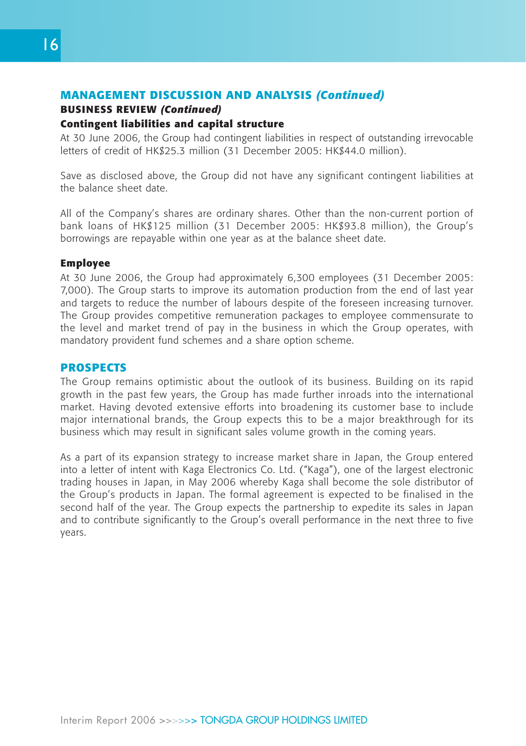# **MANAGEMENT DISCUSSION AND ANALYSIS** *(Continued)*

# **BUSINESS REVIEW** *(Continued)*

## **Contingent liabilities and capital structure**

At 30 June 2006, the Group had contingent liabilities in respect of outstanding irrevocable letters of credit of HK\$25.3 million (31 December 2005: HK\$44.0 million).

Save as disclosed above, the Group did not have any significant contingent liabilities at the balance sheet date.

All of the Company's shares are ordinary shares. Other than the non-current portion of bank loans of HK\$125 million (31 December 2005: HK\$93.8 million), the Group's borrowings are repayable within one year as at the balance sheet date.

## **Employee**

At 30 June 2006, the Group had approximately 6,300 employees (31 December 2005: 7,000). The Group starts to improve its automation production from the end of last year and targets to reduce the number of labours despite of the foreseen increasing turnover. The Group provides competitive remuneration packages to employee commensurate to the level and market trend of pay in the business in which the Group operates, with mandatory provident fund schemes and a share option scheme.

## **PROSPECTS**

The Group remains optimistic about the outlook of its business. Building on its rapid growth in the past few years, the Group has made further inroads into the international market. Having devoted extensive efforts into broadening its customer base to include major international brands, the Group expects this to be a major breakthrough for its business which may result in significant sales volume growth in the coming years.

As a part of its expansion strategy to increase market share in Japan, the Group entered into a letter of intent with Kaga Electronics Co. Ltd. ("Kaga"), one of the largest electronic trading houses in Japan, in May 2006 whereby Kaga shall become the sole distributor of the Group's products in Japan. The formal agreement is expected to be finalised in the second half of the year. The Group expects the partnership to expedite its sales in Japan and to contribute significantly to the Group's overall performance in the next three to five years.